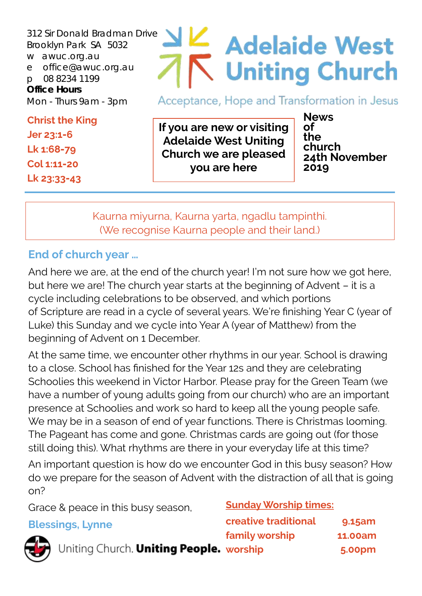312 Sir Donald Bradman Drive Brooklyn Park SA 5032 w awuc.org.au e office@awuc.org.au p 08 8234 1199 **Office Hours**  Mon - Thurs 9am - 3pm

**Christ the King Jer 23:1-6 Lk 1:68-79 Col 1:11-20 Lk 23:33-43**

# $\leq$  Adelaide West Uniting Church

Acceptance, Hope and Transformation in Jesus

**If you are new or visiting Adelaide West Uniting Church we are pleased you are here**

**News of the church 24th November 2019**

Kaurna miyurna, Kaurna yarta, ngadlu tampinthi. (We recognise Kaurna people and their land.)

#### **End of church year …**

And here we are, at the end of the church year! I'm not sure how we got here, but here we are! The church year starts at the beginning of Advent – it is a cycle including celebrations to be observed, and which portions of Scripture are read in a cycle of several years. We're finishing Year C (year of Luke) this Sunday and we cycle into Year A (year of Matthew) from the beginning of Advent on 1 December.

At the same time, we encounter other rhythms in our year. School is drawing to a close. School has finished for the Year 12s and they are celebrating Schoolies this weekend in Victor Harbor. Please pray for the Green Team (we have a number of young adults going from our church) who are an important presence at Schoolies and work so hard to keep all the young people safe. We may be in a season of end of year functions. There is Christmas looming. The Pageant has come and gone. Christmas cards are going out (for those still doing this). What rhythms are there in your everyday life at this time?

An important question is how do we encounter God in this busy season? How do we prepare for the season of Advent with the distraction of all that is going on?

Grace & peace in this busy season,

**Blessings, Lynne** 

#### **Sunday Worship times:**

| ings, Lynne                             | creative traditional | 9.15am         |
|-----------------------------------------|----------------------|----------------|
|                                         | family worship       | <b>11.00am</b> |
| Uniting Church. Uniting People. worship |                      | <b>5.00pm</b>  |

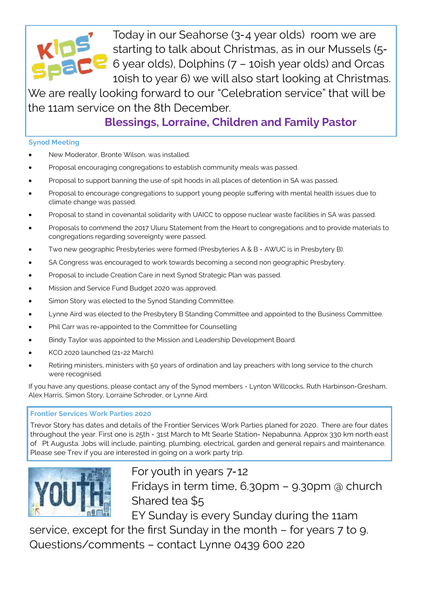

Today in our Seahorse (3-4 year olds) room we are starting to talk about Christmas, as in our Mussels (5-  $\blacksquare$  6 year olds), Dolphins (7 - 10ish year olds) and Orcas 10ish to year 6) we will also start looking at Christmas.

We are really looking forward to our "Celebration service" that will be the 11am service on the 8th December.

**Blessings, Lorraine, Children and Family Pastor**

#### **Synod Meeting**

- New Moderator, Bronte Wilson, was installed.
- Proposal encouraging congregations to establish community meals was passed.
- Proposal to support banning the use of spit hoods in all places of detention in SA was passed.
- Proposal to encourage congregations to support young people suffering with mental health issues due to climate change was passed.
- Proposal to stand in covenantal solidarity with UAICC to oppose nuclear waste facilities in SA was passed.
- Proposals to commend the 2017 Uluru Statement from the Heart to congregations and to provide materials to congregations regarding sovereignty were passed.
- Two new geographic Presbyteries were formed (Presbyteries A & B AWUC is in Presbytery B).
- SA Congress was encouraged to work towards becoming a second non geographic Presbytery.
- Proposal to include Creation Care in next Synod Strategic Plan was passed.
- Mission and Service Fund Budget 2020 was approved.
- Simon Story was elected to the Synod Standing Committee.
- Lynne Aird was elected to the Presbytery B Standing Committee and appointed to the Business Committee.
- Phil Carr was re-appointed to the Committee for Counselling
- Bindy Taylor was appointed to the Mission and Leadership Development Board.
- KCO 2020 launched (21-22 March).
- Retiring ministers, ministers with 50 years of ordination and lay preachers with long service to the church were recognised.

If you have any questions, please contact any of the Synod members - Lynton Willcocks, Ruth Harbinson-Gresham, Alex Harris, Simon Story, Lorraine Schroder, or Lynne Aird.

#### **Frontier Services Work Parties 2020**

Trevor Story has dates and details of the Frontier Services Work Parties planed for 2020. There are four dates throughout the year. First one is 25th - 31st March to Mt Searle Station- Nepabunna. Approx 330 km north east of Pt Augusta. Jobs will include, painting, plumbing, electrical, garden and general repairs and maintenance. Please see Trev if you are interested in going on a work party trip.



For youth in years 7-12 Fridays in term time, 6.30pm – 9.30pm @ church Shared tea \$5

EY Sunday is every Sunday during the 11am

service, except for the first Sunday in the month – for years 7 to 9. Questions/comments – contact Lynne 0439 600 220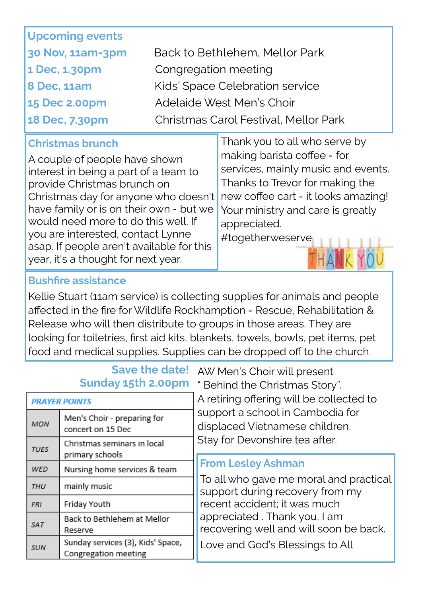| <b>Upcoming events</b> |                                       |
|------------------------|---------------------------------------|
| 30 Nov, 11am-3pm       | Back to Bethlehem, Mellor Park        |
| 1 Dec, 1.30pm          | Congregation meeting                  |
| <b>8 Dec, 11am</b>     | Kids' Space Celebration service       |
| <b>15 Dec 2.00pm</b>   | Adelaide West Men's Choir             |
| 18 Dec, 7.30pm         | Christmas Carol Festival, Mellor Park |

#### **Christmas brunch**

A couple of people have shown interest in being a part of a team to provide Christmas brunch on Christmas day for anyone who doesn't have family or is on their own - but we would need more to do this well. If you are interested, contact Lynne asap. If people aren't available for this year, it's a thought for next year.

Thank you to all who serve by making barista coffee - for services, mainly music and events. Thanks to Trevor for making the new coffee cart - it looks amazing! Your ministry and care is greatly appreciated. #togetherweserve

#### **Bushfire assistance**

Kellie Stuart (11am service) is collecting supplies for animals and people affected in the fire for Wildlife Rockhamption - Rescue, Rehabilitation & Release who will then distribute to groups in those areas. They are looking for toiletries, first aid kits, blankets, towels, bowls, pet items, pet food and medical supplies. Supplies can be dropped off to the church.

# **Save the date!**

| <b>PRAYER POINTS</b> |                                                           |  |  |
|----------------------|-----------------------------------------------------------|--|--|
| <b>MON</b>           | Men's Choir - preparing for<br>concert on 15 Dec          |  |  |
| <b>TUES</b>          | Christmas seminars in local<br>primary schools            |  |  |
| WED                  | Nursing home services & team                              |  |  |
| THU                  | mainly music                                              |  |  |
| <b>FRI</b>           | Friday Youth                                              |  |  |
| SAT                  | Back to Bethlehem at Mellor<br>Reserve                    |  |  |
| <b>SUN</b>           | Sunday services (3), Kids' Space,<br>Congregation meeting |  |  |

AW Men's Choir will present **Sunday 15th 2.00pm** " Behind the Christmas Story". A retiring offering will be collected to support a school in Cambodia for displaced Vietnamese children. Stay for Devonshire tea after.

#### **From Lesley Ashman**

To all who gave me moral and practical support during recovery from my recent accident; it was much appreciated . Thank you, I am recovering well and will soon be back.

Love and God's Blessings to All